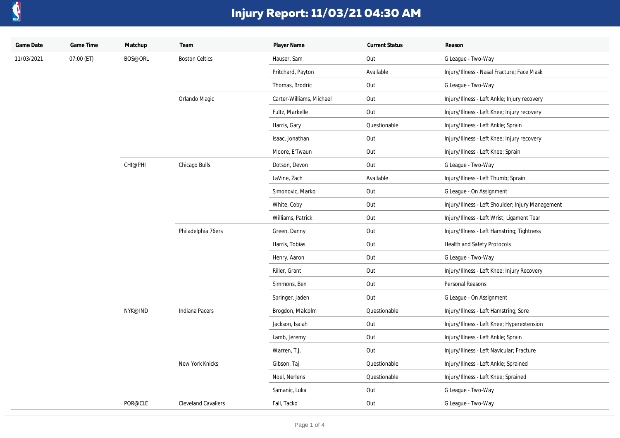

## **Injury Report: 11/03/21 04:30 AM**

| Game Date  | Game Time  | Matchup | Team                       | Player Name              | <b>Current Status</b> | Reason                                            |
|------------|------------|---------|----------------------------|--------------------------|-----------------------|---------------------------------------------------|
| 11/03/2021 | 07:00 (ET) | BOS@ORL | <b>Boston Celtics</b>      | Hauser, Sam              | Out                   | G League - Two-Way                                |
|            |            |         |                            | Pritchard, Payton        | Available             | Injury/Illness - Nasal Fracture; Face Mask        |
|            |            |         |                            | Thomas, Brodric          | Out                   | G League - Two-Way                                |
|            |            |         | Orlando Magic              | Carter-Williams, Michael | Out                   | Injury/Illness - Left Ankle; Injury recovery      |
|            |            |         |                            | Fultz, Markelle          | Out                   | Injury/Illness - Left Knee; Injury recovery       |
|            |            |         |                            | Harris, Gary             | Questionable          | Injury/Illness - Left Ankle; Sprain               |
|            |            |         |                            | Isaac, Jonathan          | Out                   | Injury/Illness - Left Knee; Injury recovery       |
|            |            |         |                            | Moore, E'Twaun           | Out                   | Injury/Illness - Left Knee; Sprain                |
|            |            | CHI@PHI | Chicago Bulls              | Dotson, Devon            | Out                   | G League - Two-Way                                |
|            |            |         |                            | LaVine, Zach             | Available             | Injury/Illness - Left Thumb; Sprain               |
|            |            |         |                            | Simonovic, Marko         | Out                   | G League - On Assignment                          |
|            |            |         |                            | White, Coby              | Out                   | Injury/Illness - Left Shoulder; Injury Management |
|            |            |         |                            | Williams, Patrick        | Out                   | Injury/Illness - Left Wrist; Ligament Tear        |
|            |            |         | Philadelphia 76ers         | Green, Danny             | Out                   | Injury/Illness - Left Hamstring; Tightness        |
|            |            |         |                            | Harris, Tobias           | Out                   | Health and Safety Protocols                       |
|            |            |         |                            | Henry, Aaron             | Out                   | G League - Two-Way                                |
|            |            |         |                            | Riller, Grant            | Out                   | Injury/Illness - Left Knee; Injury Recovery       |
|            |            |         |                            | Simmons, Ben             | Out                   | Personal Reasons                                  |
|            |            |         |                            | Springer, Jaden          | Out                   | G League - On Assignment                          |
|            |            | NYK@IND | Indiana Pacers             | Brogdon, Malcolm         | Questionable          | Injury/Illness - Left Hamstring; Sore             |
|            |            |         |                            | Jackson, Isaiah          | Out                   | Injury/Illness - Left Knee; Hyperextension        |
|            |            |         |                            | Lamb, Jeremy             | Out                   | Injury/Illness - Left Ankle; Sprain               |
|            |            |         |                            | Warren, T.J.             | Out                   | Injury/Illness - Left Navicular; Fracture         |
|            |            |         | New York Knicks            | Gibson, Taj              | Questionable          | Injury/Illness - Left Ankle; Sprained             |
|            |            |         |                            | Noel, Nerlens            | Questionable          | Injury/Illness - Left Knee; Sprained              |
|            |            |         |                            | Samanic, Luka            | Out                   | G League - Two-Way                                |
|            |            | POR@CLE | <b>Cleveland Cavaliers</b> | Fall, Tacko              | Out                   | G League - Two-Way                                |
|            |            |         |                            |                          |                       |                                                   |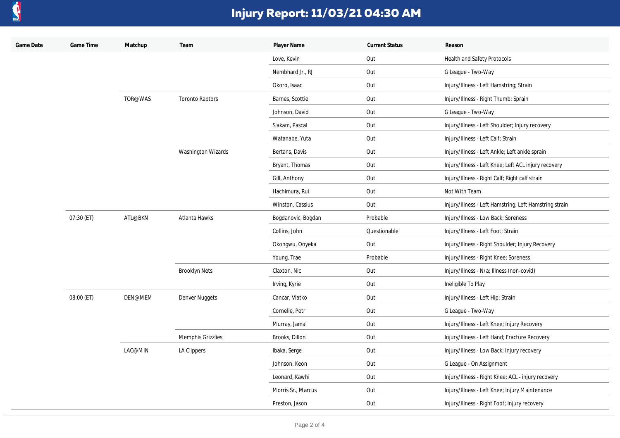

## **Injury Report: 11/03/21 04:30 AM**

| Game Date | Game Time  | Matchup | Team                     | Player Name        | <b>Current Status</b> | Reason                                                 |
|-----------|------------|---------|--------------------------|--------------------|-----------------------|--------------------------------------------------------|
|           |            |         |                          | Love, Kevin        | Out                   | Health and Safety Protocols                            |
|           |            |         |                          | Nembhard Jr., RJ   | Out                   | G League - Two-Way                                     |
|           |            |         |                          | Okoro, Isaac       | Out                   | Injury/Illness - Left Hamstring; Strain                |
|           |            | TOR@WAS | <b>Toronto Raptors</b>   | Barnes, Scottie    | Out                   | Injury/Illness - Right Thumb; Sprain                   |
|           |            |         |                          | Johnson, David     | Out                   | G League - Two-Way                                     |
|           |            |         |                          | Siakam, Pascal     | Out                   | Injury/Illness - Left Shoulder; Injury recovery        |
|           |            |         |                          | Watanabe, Yuta     | Out                   | Injury/Illness - Left Calf; Strain                     |
|           |            |         | Washington Wizards       | Bertans, Davis     | Out                   | Injury/Illness - Left Ankle; Left ankle sprain         |
|           |            |         |                          | Bryant, Thomas     | Out                   | Injury/Illness - Left Knee; Left ACL injury recovery   |
|           |            |         |                          | Gill, Anthony      | Out                   | Injury/Illness - Right Calf; Right calf strain         |
|           |            |         |                          | Hachimura, Rui     | Out                   | Not With Team                                          |
|           |            |         |                          | Winston, Cassius   | Out                   | Injury/Illness - Left Hamstring; Left Hamstring strain |
|           | 07:30 (ET) | ATL@BKN | Atlanta Hawks            | Bogdanovic, Bogdan | Probable              | Injury/Illness - Low Back; Soreness                    |
|           |            |         |                          | Collins, John      | Questionable          | Injury/Illness - Left Foot; Strain                     |
|           |            |         |                          | Okongwu, Onyeka    | Out                   | Injury/Illness - Right Shoulder; Injury Recovery       |
|           |            |         |                          | Young, Trae        | Probable              | Injury/Illness - Right Knee; Soreness                  |
|           |            |         | <b>Brooklyn Nets</b>     | Claxton, Nic       | Out                   | Injury/Illness - N/a; Illness (non-covid)              |
|           |            |         |                          | Irving, Kyrie      | Out                   | Ineligible To Play                                     |
|           | 08:00 (ET) | DEN@MEM | Denver Nuggets           | Cancar, Vlatko     | Out                   | Injury/Illness - Left Hip; Strain                      |
|           |            |         |                          | Cornelie, Petr     | Out                   | G League - Two-Way                                     |
|           |            |         |                          | Murray, Jamal      | Out                   | Injury/Illness - Left Knee; Injury Recovery            |
|           |            |         | <b>Memphis Grizzlies</b> | Brooks, Dillon     | Out                   | Injury/Illness - Left Hand; Fracture Recovery          |
|           |            | LAC@MIN | LA Clippers              | Ibaka, Serge       | Out                   | Injury/Illness - Low Back; Injury recovery             |
|           |            |         |                          | Johnson, Keon      | Out                   | G League - On Assignment                               |
|           |            |         |                          | Leonard, Kawhi     | Out                   | Injury/Illness - Right Knee; ACL - injury recovery     |
|           |            |         |                          | Morris Sr., Marcus | Out                   | Injury/Illness - Left Knee; Injury Maintenance         |
|           |            |         |                          | Preston, Jason     | Out                   | Injury/Illness - Right Foot; Injury recovery           |
|           |            |         |                          |                    |                       |                                                        |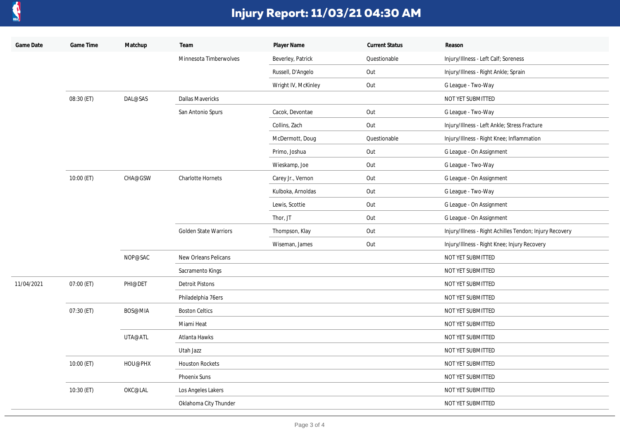

## **Injury Report: 11/03/21 04:30 AM**

| Game Date  | Game Time  | Matchup | Team                         | Player Name         | <b>Current Status</b> | Reason                                                  |
|------------|------------|---------|------------------------------|---------------------|-----------------------|---------------------------------------------------------|
|            |            |         | Minnesota Timberwolves       | Beverley, Patrick   | Questionable          | Injury/Illness - Left Calf; Soreness                    |
|            |            |         |                              | Russell, D'Angelo   | Out                   | Injury/Illness - Right Ankle; Sprain                    |
|            |            |         |                              | Wright IV, McKinley | Out                   | G League - Two-Way                                      |
|            | 08:30 (ET) | DAL@SAS | Dallas Mavericks             |                     |                       | NOT YET SUBMITTED                                       |
|            |            |         | San Antonio Spurs            | Cacok, Devontae     | Out                   | G League - Two-Way                                      |
|            |            |         |                              | Collins, Zach       | Out                   | Injury/Illness - Left Ankle; Stress Fracture            |
|            |            |         |                              | McDermott, Doug     | Questionable          | Injury/Illness - Right Knee; Inflammation               |
|            |            |         |                              | Primo, Joshua       | Out                   | G League - On Assignment                                |
|            |            |         |                              | Wieskamp, Joe       | Out                   | G League - Two-Way                                      |
|            | 10:00 (ET) | CHA@GSW | Charlotte Hornets            | Carey Jr., Vernon   | Out                   | G League - On Assignment                                |
|            |            |         |                              | Kulboka, Arnoldas   | Out                   | G League - Two-Way                                      |
|            |            |         |                              | Lewis, Scottie      | Out                   | G League - On Assignment                                |
|            |            |         |                              | Thor, JT            | Out                   | G League - On Assignment                                |
|            |            |         | <b>Golden State Warriors</b> | Thompson, Klay      | Out                   | Injury/Illness - Right Achilles Tendon; Injury Recovery |
|            |            |         |                              | Wiseman, James      | Out                   | Injury/Illness - Right Knee; Injury Recovery            |
|            |            | NOP@SAC | New Orleans Pelicans         |                     |                       | NOT YET SUBMITTED                                       |
|            |            |         | Sacramento Kings             |                     |                       | NOT YET SUBMITTED                                       |
| 11/04/2021 | 07:00 (ET) | PHI@DET | <b>Detroit Pistons</b>       |                     |                       | NOT YET SUBMITTED                                       |
|            |            |         | Philadelphia 76ers           |                     |                       | NOT YET SUBMITTED                                       |
|            | 07:30 (ET) | BOS@MIA | <b>Boston Celtics</b>        |                     |                       | NOT YET SUBMITTED                                       |
|            |            |         | Miami Heat                   |                     |                       | NOT YET SUBMITTED                                       |
|            |            | UTA@ATL | Atlanta Hawks                |                     |                       | NOT YET SUBMITTED                                       |
|            |            |         | Utah Jazz                    |                     |                       | NOT YET SUBMITTED                                       |
|            | 10:00 (ET) | HOU@PHX | <b>Houston Rockets</b>       |                     |                       | NOT YET SUBMITTED                                       |
|            |            |         | Phoenix Suns                 |                     |                       | NOT YET SUBMITTED                                       |
|            | 10:30 (ET) | OKC@LAL | Los Angeles Lakers           |                     |                       | NOT YET SUBMITTED                                       |
|            |            |         | Oklahoma City Thunder        |                     |                       | NOT YET SUBMITTED                                       |